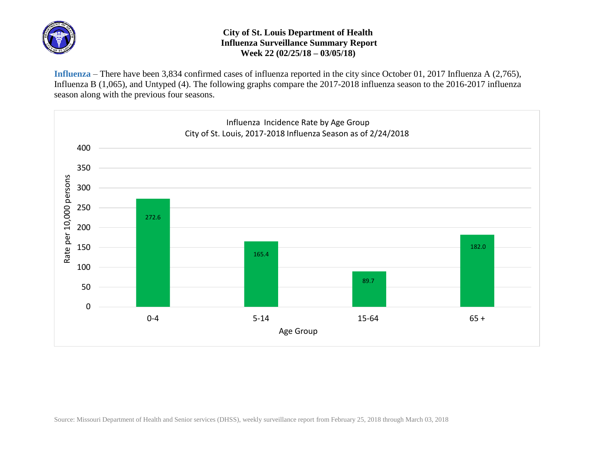

## **City of St. Louis Department of Health Influenza Surveillance Summary Report Week 22 (02/25/18 – 03/05/18)**

**Influenza** – There have been 3,834 confirmed cases of influenza reported in the city since October 01, 2017 Influenza A (2,765), Influenza B (1,065), and Untyped (4). The following graphs compare the 2017-2018 influenza season to the 2016-2017 influenza season along with the previous four seasons.